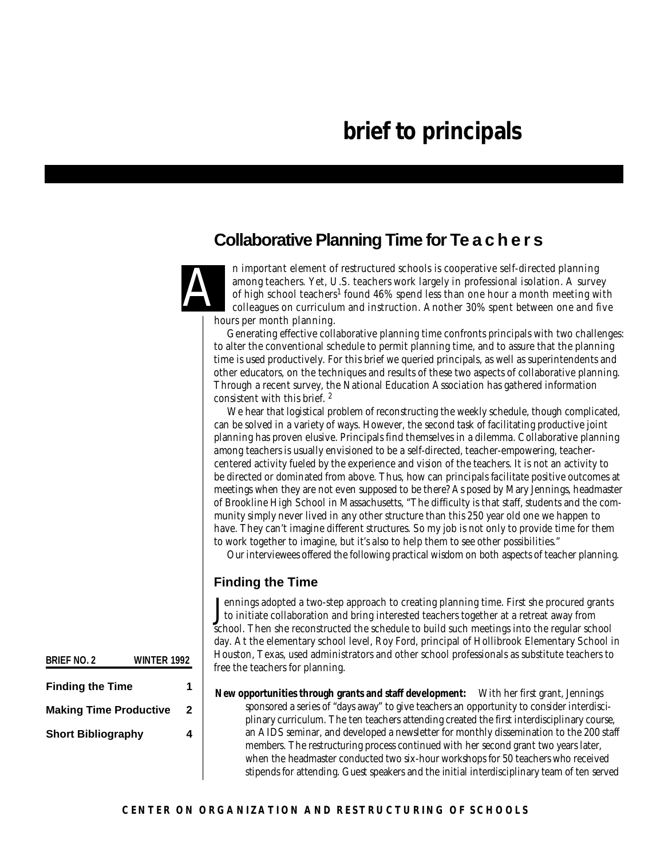## **Collaborative Planning Time for Te a c h e r s**



n important element of restructured schools is cooperative self-directed planning among teachers. Yet, U.S. teachers work largely in professional isolation. A survey of high school teachers<sup>1</sup> found 46% spend less than one hour a month meeting with colleagues on curriculum and instruction. Another 30% spent between one and five hours per month planning.

Generating effective collaborative planning time confronts principals with two challenges: to alter the conventional schedule to permit planning time, and to assure that the planning time is used productively. For this brief we queried principals, as well as superintendents and other educators, on the techniques and results of these two aspects of collaborative planning. Through a recent survey, the National Education Association has gathered information consistent with this brief. <sup>2</sup>

We hear that logistical problem of reconstructing the weekly schedule, though complicated, can be solved in a variety of ways. However, the second task of facilitating productive joint planning has proven elusive. Principals find themselves in a dilemma. Collaborative planning among teachers is usually envisioned to be a self-directed, teacher-empowering, teachercentered activity fueled by the experience and vision of the teachers. It is not an activity to be directed or dominated from above. Thus, how can principals facilitate positive outcomes at meetings when they are not even supposed to be there? As posed by Mary Jennings, headmaster of Brookline High School in Massachusetts, "The difficulty is that staff, students and the community simply never lived in any other structure than this 250 year old one we happen to have. They can't imagine different structures. So my job is not only to provide time for them to work together to imagine, but it's also to help them to see other possibilities."

Our interviewees offered the following practical wisdom on both aspects of teacher planning.

#### **Finding the Time**

Jennings adopted a two-step approach to creating planning time. First she procured grants<br>to initiate collaboration and bring interested teachers together at a retreat away from to initiate collaboration and bring interested teachers together at a retreat away from school. Then she reconstructed the schedule to build such meetings into the regular school day. At the elementary school level, Roy Ford, principal of Hollibrook Elementary School in Houston, Texas, used administrators and other school professionals as substitute teachers to free the teachers for planning.

**New opportunities through grants and staff development:** With her first grant, Jennings sponsored a series of "days away" to give teachers an opportunity to consider interdisciplinary curriculum. The ten teachers attending created the first interdisciplinary course, an AIDS seminar, and developed a newsletter for monthly dissemination to the 200 staff members. The restructuring process continued with her second grant two years later, when the headmaster conducted two six-hour workshops for 50 teachers who received stipends for attending. Guest speakers and the initial interdisciplinary team of ten served

**BRIEF NO. 2 WINTER 1992**

| <b>Finding the Time</b>       |   |
|-------------------------------|---|
| <b>Making Time Productive</b> | 2 |
| <b>Short Bibliography</b>     | 4 |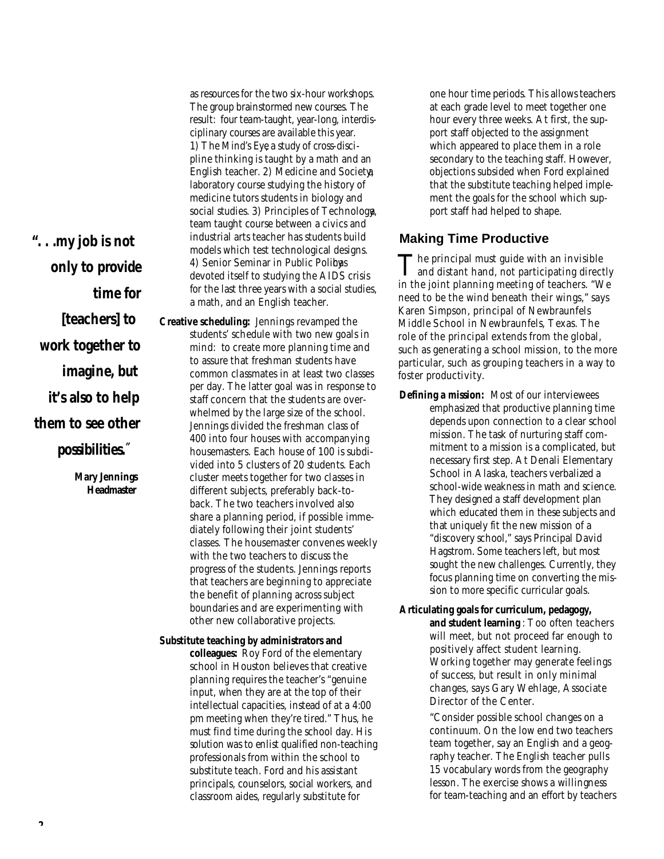*". . .my job is not only to provide time for [teachers] to work together to imagine, but it's also to help them to see other*

possibilities.<sup>"</sup>

*Mary Jennings* Headmaster

as resources for the two six-hour workshops. The group brainstormed new courses. The result: four team-taught, year-long, interdisciplinary courses are available this year. *1) The Mind's Eye*, a study of cross-discipline thinking is taught by a math and an English teacher. *2) Medicine and Society,* a laboratory course studying the history of medicine tutors students in biology and social studies. *3) Principles of Technology,* a team taught course between a civics and industrial arts teacher has students build models which test technological designs. 4) Senior Seminar in Public Polibas devoted itself to studying the AIDS crisis for the last three years with a social studies, a math, and an English teacher.

**Creative scheduling:** Jennings revamped the students' schedule with two new goals in mind: to create more planning time and to assure that freshman students have common classmates in at least two classes per day. The latter goal was in response to staff concern that the students are overwhelmed by the large size of the school. Jennings divided the freshman class of 400 into four houses with accompanying housemasters. Each house of 100 is subdivided into 5 clusters of 20 students. Each cluster meets together for two classes in different subjects, preferably back-toback. The two teachers involved also share a planning period, if possible immediately following their joint students' classes. The housemaster convenes weekly with the two teachers to discuss the progress of the students. Jennings reports that teachers are beginning to appreciate the benefit of planning across subject boundaries and are experimenting with other new collaborative projects.

**Substitute teaching by administrators and colleagues:** Roy Ford of the elementary school in Houston believes that creative planning requires the teacher's "genuine input, when they are at the top of their intellectual capacities, instead of at a 4:00 pm meeting when they're tired." Thus, he must find time during the school day. His solution was to enlist qualified non-teaching professionals from within the school to substitute teach. Ford and his assistant principals, counselors, social workers, and classroom aides, regularly substitute for

one hour time periods. This allows teachers at each grade level to meet together one hour every three weeks. At first, the support staff objected to the assignment which appeared to place them in a role secondary to the teaching staff. However, objections subsided when Ford explained that the substitute teaching helped implement the goals for the school which support staff had helped to shape.

#### **Making Time Productive**

The principal must guide with an invisible<br>and distant hand, not participating directly The principal must guide with an invisible in the joint planning meeting of teachers. "We need to be the wind beneath their wings," says Karen Simpson, principal of Newbraunfels Middle School in Newbraunfels, Texas. The role of the principal extends from the global, such as generating a school mission, to the more particular, such as grouping teachers in a way to foster productivity.

- **Defining a mission:** Most of our interviewees emphasized that productive planning time depends upon connection to a clear school mission. The task of nurturing staff commitment to a mission is a complicated, but necessary first step. At Denali Elementary School in Alaska, teachers verbalized a school-wide weakness in math and science. They designed a staff development plan which educated them in these subjects and that uniquely fit the new mission of a "discovery school," says Principal David Hagstrom. Some teachers left, but most sought the new challenges. Currently, they focus planning time on converting the mission to more specific curricular goals.
- **Articulating goals for curriculum, pedagogy, and student learning** : Too often teachers will meet, but not proceed far enough to positively affect student learning. Working together may generate feelings of success, but result in only minimal changes, says Gary Wehlage, Associate Director of the Center.

"Consider possible school changes on a continuum. On the low end two teachers team together, say an English and a geography teacher. The English teacher pulls 15 vocabulary words from the geography lesson. The exercise shows a willingness for team-teaching and an effort by teachers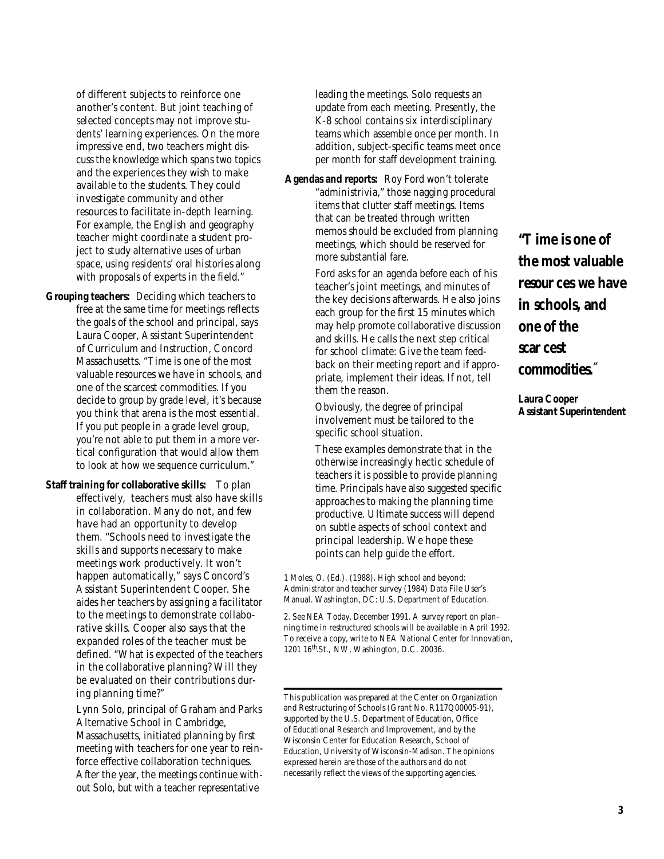of different subjects to reinforce one another's content. But joint teaching of selected concepts may not improve students' learning experiences. On the more impressive end, two teachers might discuss the knowledge which spans two topics and the experiences they wish to make available to the students. They could investigate community and other resources to facilitate in-depth learning. For example, the English and geography teacher might coordinate a student project to study alternative uses of urban space, using residents' oral histories along with proposals of experts in the field."

- **Grouping teachers:** Deciding which teachers to free at the same time for meetings reflects the goals of the school and principal, says Laura Cooper, Assistant Superintendent of Curriculum and Instruction, Concord Massachusetts. "Time is one of the most valuable resources we have in schools, and one of the scarcest commodities. If you decide to group by grade level, it's because you think that arena is the most essential. If you put people in a grade level group, you're not able to put them in a more vertical configuration that would allow them to look at how we sequence curriculum."
- **Staff training for collaborative skills:** To plan effectively, teachers must also have skills in collaboration. Many do not, and few have had an opportunity to develop them. "Schools need to investigate the skills and supports necessary to make meetings work productively. It won't happen automatically," says Concord's Assistant Superintendent Cooper. She aides her teachers by assigning a facilitator to the meetings to demonstrate collaborative skills. Cooper also says that the expanded roles of the teacher must be defined. "What is expected of the teachers in the collaborative planning? Will they be evaluated on their contributions during planning time?"

Lynn Solo, principal of Graham and Parks Alternative School in Cambridge, Massachusetts, initiated planning by first meeting with teachers for one year to reinforce effective collaboration techniques. After the year, the meetings continue without Solo, but with a teacher representative

leading the meetings. Solo requests an update from each meeting. Presently, the K-8 school contains six interdisciplinary teams which assemble once per month. In addition, subject-specific teams meet once per month for staff development training.

**Agendas and reports:** Roy Ford won't tolerate "administrivia," those nagging procedural items that clutter staff meetings. Items that can be treated through written memos should be excluded from planning meetings, which should be reserved for more substantial fare.

> Ford asks for an agenda before each of his teacher's joint meetings, and minutes of the key decisions afterwards. He also joins each group for the first 15 minutes which may help promote collaborative discussion and skills. He calls the next step critical for school climate: Give the team feedback on their meeting report and if appropriate, implement their ideas. If not, tell them the reason.

Obviously, the degree of principal involvement must be tailored to the specific school situation.

These examples demonstrate that in the otherwise increasingly hectic schedule of teachers it is possible to provide planning time. Principals have also suggested specific approaches to making the planning time productive. Ultimate success will depend on subtle aspects of school context and principal leadership. We hope these points can help guide the effort.

*1 Moles, O. (Ed.). (1988). High school and beyond: Administrator and teacher survey (1984) Data File User's Manual. Washington, DC: U.S. Department of Education.*

*2. See* NEA Today, *December 1991. A survey report on planning time in restructured schools will be available in April 1992. To receive a copy, write to NEA National Center for Innovation,* 1201 16<sup>th</sup>.St., NW, Washington, D.C. 20036.

*" Time is one of the most valuable* resour ces we have *in schools, and one of the s c a r cest*   $commodities.$ *<sup><i>z*</sup></sup>

*Laura Cooper Assistant Superintendent*

This publication was prepared at the Center on Organization and Restructuring of Schools (Grant No. R117Q00005-91), supported by the U.S. Department of Education, Office of Educational Research and Improvement, and by the Wisconsin Center for Education Research, School of Education, University of Wisconsin-Madison. The opinions expressed herein are those of the authors and do not necessarily reflect the views of the supporting agencies.